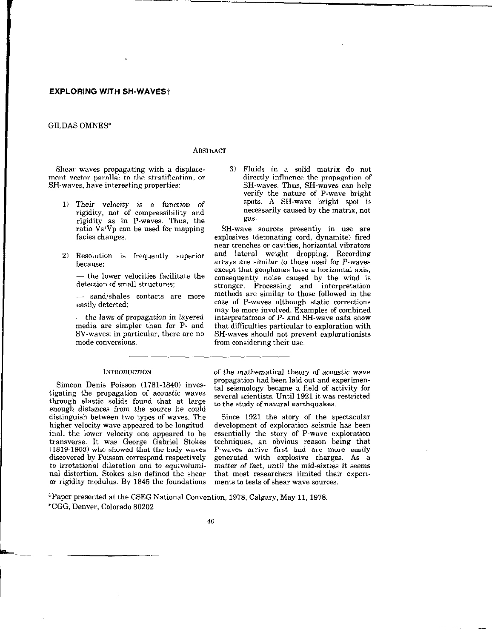# **EXPLORING WITH SH-WAVES**†

# GILDAS OMNES\*

# **ABSTRACT**

Shear waves propagating with a displacement vector parallel to the stratification, or SH-waves, have interesting properties:

- 1) Their velocity is a function of rigidity, not of compressibility and rigidity as in P-waves. Thus, the ratio  $\tilde{V}$ s/Vp can be used for mapping facies changes.
- 2) Resolution is frequently superior because:

- the lower velocities facilitate the detection of small structures;

sand/shales contacts are more easily detected;

- the laws of propagation in layered media are simpler than for P- and SV-waves; in particular, there are no mode conversions.

### INTRODUcTION

Simeon Denis Poisson (1781.1840) investigating the propagation of acoustic waves through elastic solids found that at large enough distances from the source he could distinguish between two types of waves. The higher velocity wave appeared to be longitudinal, the lower velocity one appeared to be transverse. It was George Gabriel Stokes (1819-1903) who showed that the body waves discovered by Poisson correspond respectively to irrotational dilatation and to equivoluminal distortion. Stokes also defined the shear or rigidity modulus. By 1845 the foundations 3) Fluids in a solid matrix do not directly influence the propagation of SH-waves. Thus, SH-waves can help verify the nature of P-wave bright spots A SH-wave bright spot is necessarily caused by the matrix, not gas.

SH-wave sources presently in use are explosives (detonating cord, dynamite) fired near trenches or cavities, horizontal vibrators and lateral weight dropping. Recording arrays are similar to those used for P-waves except that geophones have a horizontal axis; consequently noise caused by the wind is stronger. Processing and interpretation methods are similar to those followed in the case of P-waves although static corrections may be more involved. Examples of combined interpretations of P- and SH-wave data show that difficulties particular to exploration with SH-waves should not prevent explorationists from considering their use.

of the mathematical theory of acoustic wave propagation had been laid out and experimental seismology became a field of activity for several scientists. Until 1921 it was restricted to the study of natural earthquakes.

Since 1921 the story of the spectacular development of exploration seismic has been essentially the story of P-wave exploration techniques, an obvious reason being that P-waves arrive first and are more easily generated with explosive charges. As a matter of fact, until the mid-sixties it seems that most researchers limited their experiments to tests of shear wave sources.

?Paper presented at the CSEG National Convention, 1978, Calgary, May 11,1978. \*CGG, Denver, Colorado 80202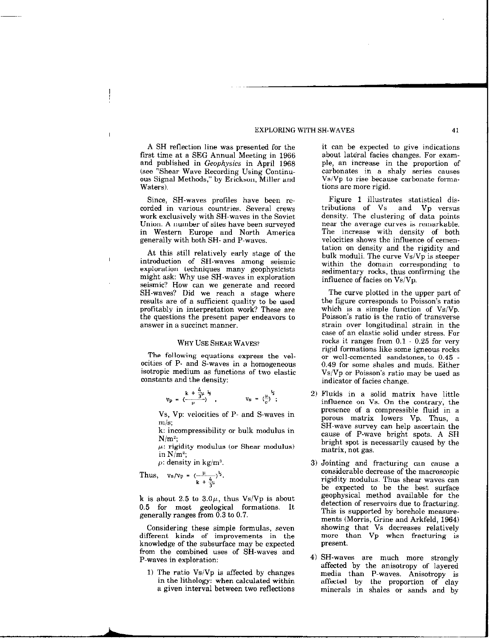#### EXPLORING WITH SH-WAVES 41

A SH reflection line was presented for the first time at a SEG Annual Meeting in 1966 and published in Geophysics in April 1968 (see "Shear Wave Recording Using Continuous Signal Methods," by Erickson, Miller and Waters).

Since, SH-waves profiles have been recorded in various countries. Several crews work exclusively with SH-waves in the Soviet Union. A number of sites have been surveyed in Western Europe and North America generally with both SH- and P-waves.

At this still relatively early stage of the introduction of SH-waves among seismic exploration techniques many geophysicists might ask: Why use SH-waves in exploration seismic? How can we generate and record SH-waves? Did we reach a stage where results are of a sufficient quality to be used profitably in interpretation work? These are the questions the present paper endeavors to answer in a succinct manner.

# WHY USE SHEAR WAVES?

The following equations express the velocities of P- and S-waves in a homogeneous isotropic medium as functions of two elastic constants and the density:

$$
V_p = \left(\frac{k + \frac{4}{3}\mu^{1/2}}{\rho}\right), \qquad V_s = \left(\frac{\mu}{\rho}\right)^{\frac{1}{2}};
$$

Vs, Vp: velocities of P- and S-waves in m/s;

k: incompressibility or bulk modulus in  $N/m^2$ ;

 $\mu$ : rigidity modulus (or Shear modulus) in  $N/m^2$ ;

 $\rho$ : density in kg/m<sup>3</sup>.

Thus,  $v_s/v_p = (-\frac{\mu}{\sqrt{2}})^2$ k + $\frac{4}{5}$ 

k is about 2.5 to  $3.0\mu$ , thus Vs/Vp is about 0.5 for most geological formations. It generally ranges from 0.3 to 0.7.

Considering these simple formulas, seven different kinds of improvements in the knowledge of the subsurface may be expected from the combined uses of SH-waves and P-waves in exploration:

1) The ratio  $Vs/Vp$  is affected by changes in the lithology: when calculated within a given interval between two reflections it can be expected to give indications about lateral facies changes. For example, an increase in the proportion of carbonates in a shaly series causes VslVp to rise because carbonate formations are more rigid.

Figure 1 illustrates statistical distributions of Vs and Vp versus density. The clustering of data points near the average curves is remarkable. The increase with density of both velocities shows the influence of cementation on density and the rigidity and bulk moduli. The curve Vs/Vp is steeper within the domain corresponding to sedimentary rocks, thus confirming the influence of facies on Vs/Vp.

The curve plotted in the upper part of the figure corresponds to Poisson's ratio which is a simple function of  $Vs/Vp$ . Poisson's ratio is the ratio of transverse strain over longitudinal strain in the case of an elastic solid under stress. For rocks it ranges from  $0.1$  -  $0.25$  for very rigid formations like some igneous rocks or well-cemented sandstones, to 0.45 0.49 for some shales and muds. Either Vs/Vp or Poisson's ratio may be used as indicator of facies change.

- 2) Fluids in a solid matrix have little infhence on Vs. On the contrary, the presence of a compressible fluid in a porous matrix lowers Vp. Thus, a SH-wave survey can help ascertain the cause of P-wave bright spots. A SH bright spot is necessarily caused by the matrix, not gas.
- 3) Jointing and fracturing can cause a considerable decrease of the macroscopic rigidity modulus. Thus shear waves can be expected to be the best surface geophysical method available for the detection of reservoirs due to fracturing. This is supported by borehole measurements (Morris, Grine and Arkfeld, 1964) showing that Vs decreases relatively more than Vp when fracturing is present.
- 4) SH-waves are much more strongly affected by the anisotropy of layered media than P-waves. Anisotropy is affected by the proportion of clay minerals in shales or sands and by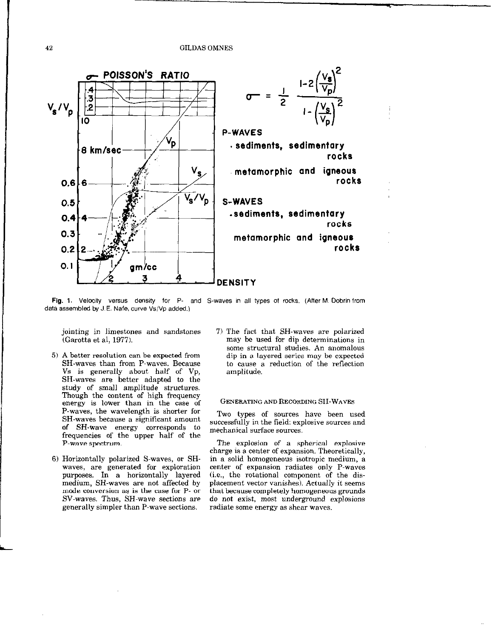GILDAS OMNES



Fig. 1. Velocity versus density for P- and S-waves in all types of rocks. (After M. Dobrin from data assembled by J.E. Nafe, curve Vs/Vp added.)

jointing in limestones and sandstones (Garotta et al, 1977).

- 5) A better resolution can be expected from SH-waves than from P-waves. Because Vs is generally about half of Vp, SH-waves are better adapted to the  $_{\rm study}$  of small amplitude structure Though the content of high frequency energy is lower than in the case of P-waves, the wavelength is shorter for SH-waves because a significant amount of SH-wave energy corresponds to frequencies of the upper half of the P-wave spectrum.
- 6) Horizontally polarized S-waves, or SHwaves, are generated for exploration purposes. In a horizontally layered medium, SH-waves are not affected by mode conversion as is the case for P- or SV-waves. Thus, SH-wave sections are generally simpler than P-wave sections.

71 The fact that SH-waves are polarized may be used for dip determinations in some structural studies. An anomalous dip in a layered series may be expected to cause a reduction of the reflection amplitude.

# GENERATING AND RECORDING SH-WAVES

Two types of sources have been used successfully in the field: explosive sources and mechanical surface sources.

The explosion of a spherical explosive charge is a center of expansion. Theoretically, in a solid homogeneous isotropic medium, a center of expansion radiates only P-waves (i.e., the rotational component of the displacement vector vanishes). Actually it seems that because completely homogeneous grounds do not exist, most underground explosions radiate some energy as shear waves.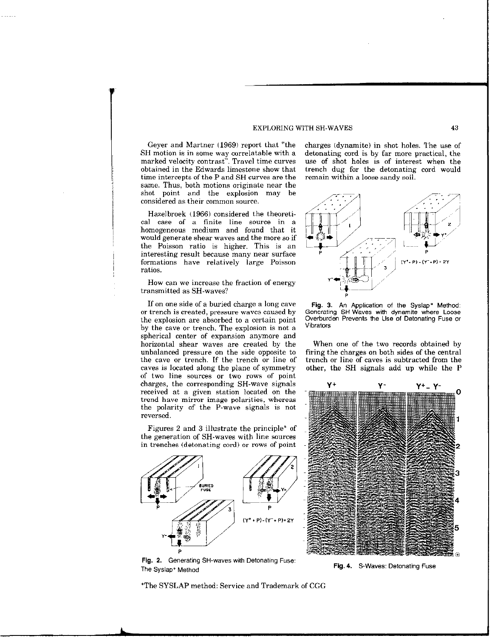### EXPLORING WITH SH-WAVES 43

Geyer and Martner (1969) report that "the SH motion is in some way correlatable with a marked velocity contrast". Travel time curves obtained in the Edwards limestone show that time intercepts of the P and SH curves are the same. Thus, both motions originate near the shot point and the explosion may be considered as their common source.

I

Hazelbroek (1966) considered the theoretical case of a finite line source in a homogeneous medium and found that it would generate shear waves and the more so if the Poisson ratio is higher. This is an interesting result because many near surface formations have relatively large Poisson ratios.

How can we increase the fraction of energy transmitted as SH-waves?

If on one side of a buried charge a long cave or trench is created, pressure waves caused by the explosion are absorbed to a certain point by the cave or trench. The explosion is not a spherical center of expansion anymore and horizontal shear waves are created by the unbalanced pressure on the side opposite to the cave or trench. If the trench or line of caves is located along the plane of symmetry of two line sources or two rows of point charges, the corresponding SH-wave signals received at a given station located on the trend have mirror image polarities, whereas the polarity of the P-wave signals is not reversed.

Figures 2 and 3 illustrate the principle\* of the generation of SH-waves with line sources in trenches (detonating cord) or rows of point



charges tdynamite) in shot holes. The use of detonating cord is by far more practical, the use of shot holes is of interest when the trench dug for the detonating cord would remain within a loose sandy soil.



Fig. 3. An Application of the Syslap\* Method: Generating SH-Waves with dynamite where Loose Overburden Prevents the Use of Detonating Fuse or Vibrators

When one of the two records obtained by firing the charges on both sides of the central trench or line of caves is subtracted from the other, the SH signals add up while the P



Fig. 2. Generating SH-waves with Detonating Fuse: The Syslap' Method

\*The SYSLAP method: Service and Trademark of CGG

Fig. 4. S-Waves: Detonating Fuse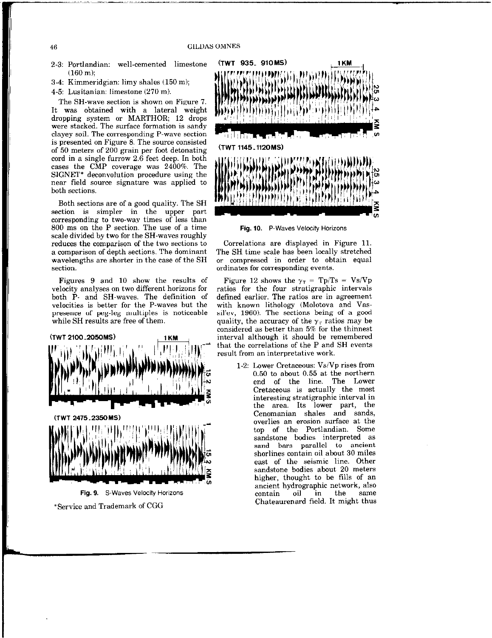46 GILDAS OMNES

- $(160 \text{ m})$ ;
- 3-4: Kimmeridgian: limy shales (150 m);
- 4-5: Lusitanian: limestone (270 ml.

The SH-wave section is shown on Fieure 7. It was obtained with a lateral weight dropping system or MARTHOR; 12 drops were stacked. The surface formation is sandy clayey soil. The corresponding P-wave section is presented on Figure 8. The source consisted of 50 meters of 200 grain per foot detonating cord in a single furrow 2.6 feet deep. In both eases the CMP coverage was 2400%. The SIGNET\* deconvolution procedure using the near field sauce signature was applied to both sections.

Both sections are of a good quality. The SH section is simpler in the upper part corresponding to two-way times of less than 800 ms on the P section. The use of a time Fig. 10. P-Waves Velocity Horizons scale divided by two for the SH-waves roughly reduces the comparison of the two sections to Correlations are displayed in Figure 11.<br>a comparison of depth sections. The dominant The SH time scale has been locally stretched wavelengths are shorter in the case of the SH section. **Section** section.

velocity analyses on two different horizons for ratios for the four stratigraphic intervals both P- and SH-waves. The definition of defined earlier. The ratios are in agreement both  $\tilde{P}$ - and SH-waves. The definition of defined earlier. The ratios are in agreement velocities is better for the P-waves but the with known lithology (Molotova and Vasvelocities is better for the P-waves but the presence of peg-leg multiples is noticeable sil'ev, 1960). The sections being of a good while SH results are free of them.



\*Service and Trademark of CGG



The SH time scale has been locally stretched<br>or compressed in order to obtain equal

**Figures 9 and 10 show the results of Figure 12 shows the**  $\gamma_T = Tp/Ts = Vs/Vp$  locity analyses on two different horizons for ratios for the four stratigraphic intervals quality, the accuracy of the  $\gamma_r$  ratios may be considered as better than 5% for the thinnest that the correlations of the P and SH events result from an interpretative work.

> l-2: Lower Cretaceous: VsiVp rises from 0.50 to about 0.55 at the northern end of the line. The Lower Cretaceous is actually the most interesting stratigraphic interval in the area. Its lower part, the Cenomanian shales and sands, overlies an erosion surface at the top of the Portlandian. Some sandstone bodies interpreted as sand bars parallel to ancient shorlines contain oil about 30 miles east of the seismic line. Other sandstone bodies about 20 meters higher, thought to be fills of an ancient hydrographic network, also<br>contain oil in the same contain Chateaurenard field. It might thus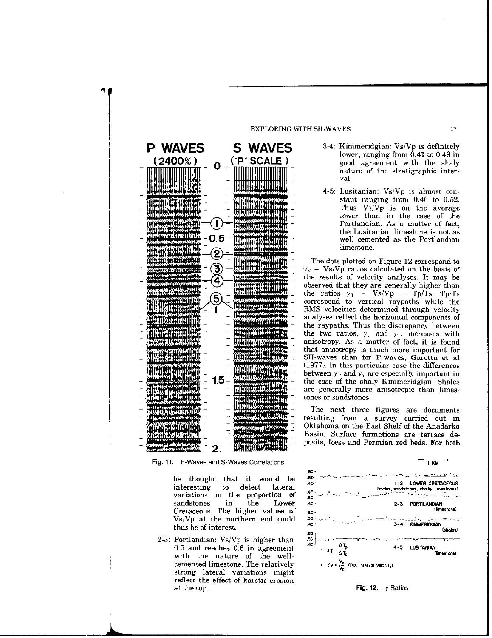

be thought that it would be interesting to detect lateral variations in the proportion of<br>sandstones in the Lower sandstones in Cretaceous. The higher values of VsiVp at the northern end could thus be of interest.

2-3: Portlandian: Vs/Vp is higher than 0.5 and reaches 0.6 in agreement with the nature of the wellcemented limestone. The relatively strong lateral variations might reflect the effect of karstic erosion at the top.

### EXPLORING WITH SH-WAVES 47

- lower, ranging from 0.41 to 0.49 in good agreement with the shaly nature of the stratigraphic interval.
- 4-5: Lusitanian: Vs/Vp is almost constant ranging from 0.46 to 0.52. Thus  $Vs/Vp$  is on the average lower than in the case of the Portlandian. As a matter of fact, the Lusitanian limestone is not as well cemented as the Portlandian limestone.

The dots plotted on Figure 12 correspond to  $\gamma_V = \text{Vs/Vp}$  ratios calculated on the basis of the results of velocity analyses. It may be observed that they are generally higher than the ratios  $\gamma_T = Vs/Vp = Tp/Ts$ . Tp/T correspond to vertical raypaths while the RMS velocities determined through velocity analyses reflect the horizontal components of the raypaths. Thus the discrepancy between the two ratios,  $\gamma_V$  and  $\gamma_T$ , increases with anisotropy. As a matter of fact, it is found that anisotropy is much more important for SH-waves than for P-waves, Garotta et al (1977). In this particular case the differences between  $\gamma_{\rm T}$  and  $\gamma_{\rm V}$  are especially important in the case of the shaly Kimmeridgian. Shales are generally more anisotropic than limestones or sandstones.

The next three figures are documents resulting from a survey carried out in Oklahoma on the East Shelf of the Anadarko Basin. Surface formations are terrace deposits, loess and Permian red beds. For both



Fig. 12.  $\gamma$  Ratios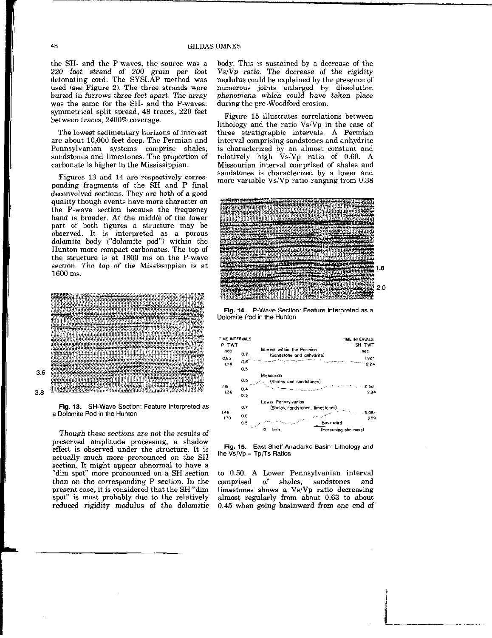the SH- and the P-waves, the source was a 220 foot strand of 200 grain per foot detonating cord. The SYSLAP method was used (see Figure 2). The three strands were buried in furrows three feet apart. The array was the same for the SH- and the P-waves: symmetrical split spread, 48 traces, 220 feet between traces, 2400% coverage.

The lowest sedimentary horizons of interest are about 10,000 feet deep. The Permian and Pennsylvanian systems comprise shales, sandstones and limestones. The proportion of carbonate is higher in the Mississippian.

Figures 13 and 14 are respectively corresponding fragments of the SH and P final deconvolved sections. They are both of a good quality though events have more character on the P-wave section because the frequency band is broader. At the middle of the lower part of both figures a structure may be observed. It is interpreted as a porous dolomite body ("dolomite pod") within the Hunton more compact carbonates. The top of the structure is at 1800 ms on the P-wave section. The top of the Mississippian is at 1600 ms.





Fig. 13. SH-Wave Section: Feature Interpreted as a Dolomite Pod in the Hunton

Though these sections are not the results of preserved amplitude processing, a shadow effect is observed under the structure. It is actually much more pronounced on the SH section. It might appear abnormal to have a "dim spot" more pronounced on a SH section than on the corresponding P section. In the present case, it is considered that the SH "dim spot" is most probably due to the relatively reduced rigidity modulus of the dolomitic

body. This is sustained by a decrease of the  $Vs/Vp$  ratio. The decrease of the rigidity modulus could be explained by the presence of numerous joints enlarged by dissolution phenomena which could have taken place during the pre-Woodford erosion.

Figure 15 illustrates correlations between lithology and the ratio Vs/Vp in the case of three stratigraphic intervals. A Permian interval comprising sandstones and anhydrite is characterized by an almost constant and relatively high VsiVp ratio of 0.60. A Missourian interval comprised of shales and sandstones is characterized by a lower and more variable VsiVp ratio ranging from 0.38



Fig. 14. P-Wave Section: Feature Interpreted as a Dolomite Pod in the Hunton



Fig. 15. East Shelf Anadarko Basin: Lithology and the  $\bar{Vs}/Vp = Tp/Ts$  Ratios

to 0.50. A Lower Pennsylvanian interval comprised of shales, sandstones and limestones shows a  $Vs/Vp$  ratio decreasing almost regularly from about 0.63 to about 0.45 when going basinward from one end of